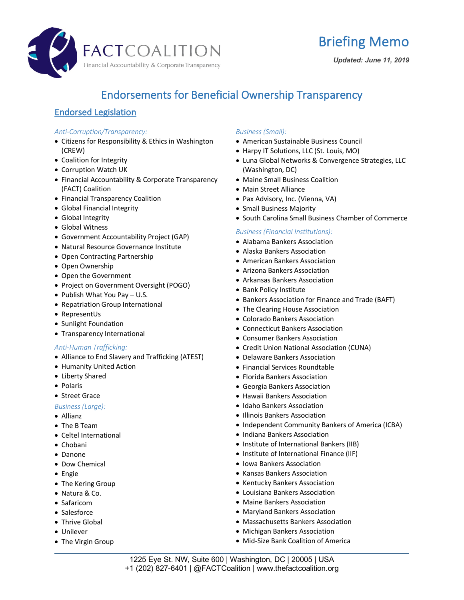



## Endorsements for Beneficial Ownership Transparency

## Endorsed Legislation

## *Anti-Corruption/Transparency:*

- Citizens for Responsibility & Ethics in Washington (CREW)
- Coalition for Integrity
- Corruption Watch UK
- Financial Accountability & Corporate Transparency (FACT) Coalition
- Financial Transparency Coalition
- Global Financial Integrity
- Global Integrity
- Global Witness
- Government Accountability Project (GAP)
- Natural Resource Governance Institute
- Open Contracting Partnership
- Open Ownership
- Open the Government
- Project on Government Oversight (POGO)
- Publish What You Pay U.S.
- Repatriation Group International
- RepresentUs
- Sunlight Foundation
- Transparency International

## *Anti-Human Trafficking:*

- Alliance to End Slavery and Trafficking (ATEST)
- Humanity United Action
- Liberty Shared
- Polaris
- Street Grace

## *Business (Large):*

- Allianz
- The B Team
- Celtel International
- Chobani
- Danone
- Dow Chemical
- Engie
- The Kering Group
- Natura & Co.
- Safaricom
- Salesforce
- Thrive Global
- Unilever
- The Virgin Group

## *Business (Small):*

- American Sustainable Business Council
- Harpy IT Solutions, LLC (St. Louis, MO)
- Luna Global Networks & Convergence Strategies, LLC (Washington, DC)
- Maine Small Business Coalition
- Main Street Alliance
- Pax Advisory, Inc. (Vienna, VA)
- Small Business Majority
- South Carolina Small Business Chamber of Commerce

## *Business (Financial Institutions):*

- Alabama Bankers Association
- Alaska Bankers Association
- American Bankers Association
- Arizona Bankers Association
- Arkansas Bankers Association
- Bank Policy Institute
- Bankers Association for Finance and Trade (BAFT)
- The Clearing House Association
- Colorado Bankers Association
- Connecticut Bankers Association
- Consumer Bankers Association
- Credit Union National Association (CUNA)
- Delaware Bankers Association
- Financial Services Roundtable
- Florida Bankers Association
- Georgia Bankers Association
- Hawaii Bankers Association
- Idaho Bankers Association
- Illinois Bankers Association
- Independent Community Bankers of America (ICBA)
- Indiana Bankers Association
- Institute of International Bankers (IIB)
- Institute of International Finance (IIF)
- Iowa Bankers Association
- Kansas Bankers Association
- Kentucky Bankers Association
- Louisiana Bankers Association
- Maine Bankers Association
- Maryland Bankers Association
- Massachusetts Bankers Association
- Michigan Bankers Association
- Mid-Size Bank Coalition of America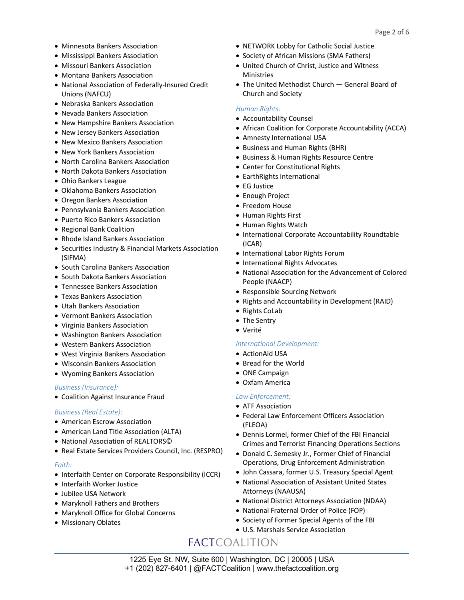- Minnesota Bankers Association
- Mississippi Bankers Association
- Missouri Bankers Association
- Montana Bankers Association
- National Association of Federally-Insured Credit Unions (NAFCU)
- Nebraska Bankers Association
- Nevada Bankers Association
- New Hampshire Bankers Association
- New Jersey Bankers Association
- New Mexico Bankers Association
- New York Bankers Association
- North Carolina Bankers Association
- North Dakota Bankers Association
- Ohio Bankers League
- Oklahoma Bankers Association
- Oregon Bankers Association
- Pennsylvania Bankers Association
- Puerto Rico Bankers Association
- Regional Bank Coalition
- Rhode Island Bankers Association
- Securities Industry & Financial Markets Association (SIFMA)
- South Carolina Bankers Association
- South Dakota Bankers Association
- Tennessee Bankers Association
- Texas Bankers Association
- Utah Bankers Association
- Vermont Bankers Association
- Virginia Bankers Association
- Washington Bankers Association
- Western Bankers Association
- West Virginia Bankers Association
- Wisconsin Bankers Association
- Wyoming Bankers Association

#### *Business (Insurance):*

• Coalition Against Insurance Fraud

## *Business (Real Estate):*

- American Escrow Association
- American Land Title Association (ALTA)
- National Association of REALTORS©
- Real Estate Services Providers Council, Inc. (RESPRO)

#### *Faith:*

- Interfaith Center on Corporate Responsibility (ICCR)
- Interfaith Worker Justice
- Jubilee USA Network
- Maryknoll Fathers and Brothers
- Maryknoll Office for Global Concerns
- Missionary Oblates
- NETWORK Lobby for Catholic Social Justice
- Society of African Missions (SMA Fathers)
- United Church of Christ, Justice and Witness **Ministries**
- The United Methodist Church General Board of Church and Society

#### *Human Rights:*

- Accountability Counsel
- African Coalition for Corporate Accountability (ACCA)
- Amnesty International USA
- Business and Human Rights (BHR)
- Business & Human Rights Resource Centre
- Center for Constitutional Rights
- EarthRights International
- EG Justice
- Enough Project
- Freedom House
- Human Rights First
- Human Rights Watch
- International Corporate Accountability Roundtable (ICAR)
- International Labor Rights Forum
- International Rights Advocates
- National Association for the Advancement of Colored People (NAACP)
- Responsible Sourcing Network
- Rights and Accountability in Development (RAID)
- Rights CoLab
- The Sentry
- Verité

## *International Development:*

- ActionAid USA
- Bread for the World
- ONE Campaign
- Oxfam America

## *Law Enforcement:*

- ATF Association
- Federal Law Enforcement Officers Association (FLEOA)
- Dennis Lormel, former Chief of the FBI Financial Crimes and Terrorist Financing Operations Sections
- Donald C. Semesky Jr., Former Chief of Financial Operations, Drug Enforcement Administration
- John Cassara, former U.S. Treasury Special Agent
- National Association of Assistant United States Attorneys (NAAUSA)
- National District Attorneys Association (NDAA)
- National Fraternal Order of Police (FOP)
- Society of Former Special Agents of the FBI
- U.S. Marshals Service Association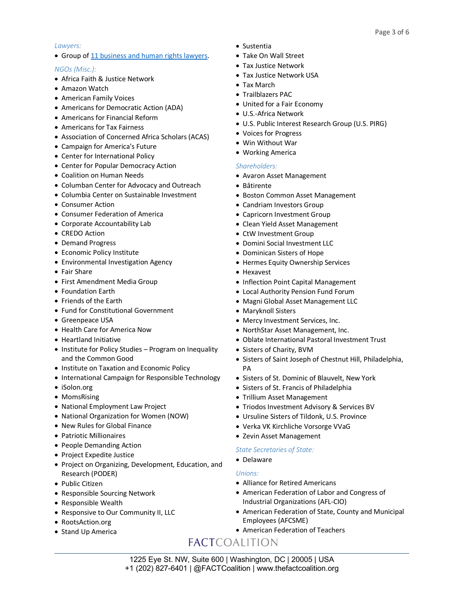## *Lawyers:*

• Group of [11 business and human rights lawyers](https://thefactcoalition.org/wp-content/uploads/2019/03/Letter-to-ABA-President-2019-03-11.pdf).

## *NGOs (Misc.):*

- Africa Faith & Justice Network
- Amazon Watch
- American Family Voices
- Americans for Democratic Action (ADA)
- Americans for Financial Reform
- Americans for Tax Fairness
- Association of Concerned Africa Scholars (ACAS)
- Campaign for America's Future
- Center for International Policy
- Center for Popular Democracy Action
- Coalition on Human Needs
- Columban Center for Advocacy and Outreach
- Columbia Center on Sustainable Investment
- Consumer Action
- Consumer Federation of America
- Corporate Accountability Lab
- CREDO Action
- Demand Progress
- Economic Policy Institute
- Environmental Investigation Agency
- Fair Share
- First Amendment Media Group
- Foundation Earth
- Friends of the Earth
- Fund for Constitutional Government
- Greenpeace USA
- Health Care for America Now
- Heartland Initiative
- Institute for Policy Studies Program on Inequality and the Common Good
- Institute on Taxation and Economic Policy
- International Campaign for Responsible Technology
- iSolon.org
- MomsRising
- National Employment Law Project
- National Organization for Women (NOW)
- New Rules for Global Finance
- Patriotic Millionaires
- People Demanding Action
- Project Expedite Justice
- Project on Organizing, Development, Education, and Research (PODER)
- Public Citizen
- Responsible Sourcing Network
- Responsible Wealth
- Responsive to Our Community II, LLC
- RootsAction.org
- Stand Up America
- Sustentia
- Take On Wall Street
- Tax Justice Network
- Tax Justice Network USA
- Tax March
	- Trailblazers PAC
	- United for a Fair Economy
	- U.S.-Africa Network
	- U.S. Public Interest Research Group (U.S. PIRG)
	- Voices for Progress
	- Win Without War
	- Working America

#### *Shareholders:*

- Avaron Asset Management
- Bâtirente
- Boston Common Asset Management
- Candriam Investors Group
- Capricorn Investment Group
- Clean Yield Asset Management
- CtW Investment Group
- Domini Social Investment LLC
- Dominican Sisters of Hope
- Hermes Equity Ownership Services
- Hexavest
- Inflection Point Capital Management
- Local Authority Pension Fund Forum
- Magni Global Asset Management LLC
- Maryknoll Sisters
- Mercy Investment Services, Inc.
- NorthStar Asset Management, Inc.
- Oblate International Pastoral Investment Trust
- Sisters of Charity, BVM
- Sisters of Saint Joseph of Chestnut Hill, Philadelphia, PA
- Sisters of St. Dominic of Blauvelt, New York
- Sisters of St. Francis of Philadelphia
- Trillium Asset Management
- Triodos Investment Advisory & Services BV
- Ursuline Sisters of Tildonk, U.S. Province
- Verka VK Kirchliche Vorsorge VVaG
- Zevin Asset Management

## *State Secretaries of State:*

## • Delaware

## *Unions:*

- Alliance for Retired Americans
- American Federation of Labor and Congress of Industrial Organizations (AFL-CIO)
- American Federation of State, County and Municipal Employees (AFCSME)
- American Federation of Teachers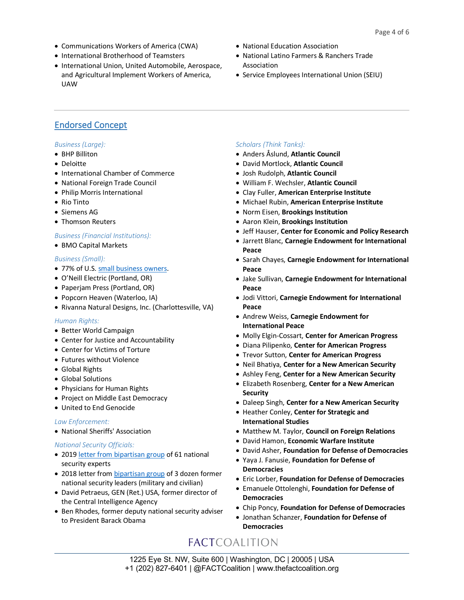- Communications Workers of America (CWA)
- International Brotherhood of Teamsters
- International Union, United Automobile, Aerospace, and Agricultural Implement Workers of America, UAW
- National Education Association
- National Latino Farmers & Ranchers Trade Association
- Service Employees International Union (SEIU)

## Endorsed Concept

## *Business (Large):*

- BHP Billiton
- Deloitte
- International Chamber of Commerce
- National Foreign Trade Council
- Philip Morris International
- Rio Tinto
- Siemens AG
- Thomson Reuters

## *Business (Financial Institutions):*

• BMO Capital Markets

## *Business (Small):*

- 77% of U.S. [small business owners](https://smallbusinessmajority.org/our-research/government-accountability/small-business-owners-support-legislation-requiring-transparency-business-formation).
- O'Neill Electric (Portland, OR)
- Paperjam Press (Portland, OR)
- Popcorn Heaven (Waterloo, IA)
- Rivanna Natural Designs, Inc. (Charlottesville, VA)

## *Human Rights:*

- Better World Campaign
- Center for Justice and Accountability
- Center for Victims of Torture
- Futures without Violence
- Global Rights
- Global Solutions
- Physicians for Human Rights
- Project on Middle East Democracy
- United to End Genocide

## *Law Enforcement:*

• National Sheriffs' Association

## *National Security Officials:*

- 2019 [letter from bipartisan group](https://thefactcoalition.org/wp-content/uploads/2019/05/HFSC-Letter-on-Anonymous-Companies-and-National-Security-20190506.pdf) of 61 national security experts
- 2018 letter from [bipartisan group](https://thefactcoalition.org/36-former-military-civilian-national-security-leaders-urge-congress-end-anonymous-shell-companies?utm_medium=resources/incorporation-transparency) of 3 dozen former national security leaders (military and civilian)
- David Petraeus, GEN (Ret.) USA, former director of the Central Intelligence Agency
- Ben Rhodes, former deputy national security adviser to President Barack Obama

## *Scholars (Think Tanks):*

- Anders Åslund, **Atlantic Council**
- David Mortlock, **Atlantic Council**
- Josh Rudolph, **Atlantic Council**
- William F. Wechsler, **Atlantic Council**
- Clay Fuller, **American Enterprise Institute**
- Michael Rubin, **American Enterprise Institute**
- Norm Eisen, **Brookings Institution**
- Aaron Klein, **Brookings Institution**
- Jeff Hauser, **Center for Economic and Policy Research**
- Jarrett Blanc, **Carnegie Endowment for International Peace**
- Sarah Chayes, **Carnegie Endowment for International Peace**
- Jake Sullivan, **Carnegie Endowment for International Peace**
- Jodi Vittori, **Carnegie Endowment for International Peace**
- Andrew Weiss, **Carnegie Endowment for International Peace**
- Molly Elgin-Cossart, **Center for American Progress**
- Diana Pilipenko, **Center for American Progress**
- Trevor Sutton, **Center for American Progress**
- Neil Bhatiya, **Center for a New American Security**
- Ashley Feng, **Center for a New American Security**
- Elizabeth Rosenberg, **Center for a New American Security**
- Daleep Singh, **Center for a New American Security**
- Heather Conley, **Center for Strategic and International Studies**
- Matthew M. Taylor, **Council on Foreign Relations**
- David Hamon, **Economic Warfare Institute**
- David Asher, **Foundation for Defense of Democracies**
- Yaya J. Fanusie, **Foundation for Defense of Democracies**
- Eric Lorber, **Foundation for Defense of Democracies**
- Emanuele Ottolenghi, **Foundation for Defense of Democracies**
- Chip Poncy, **Foundation for Defense of Democracies**
- Jonathan Schanzer, **Foundation for Defense of Democracies**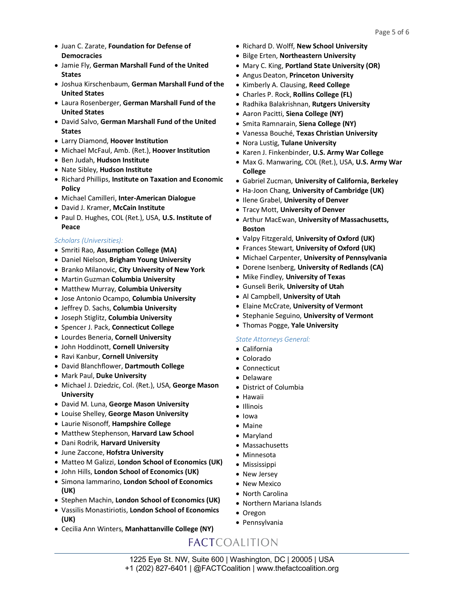- Juan C. Zarate, **Foundation for Defense of Democracies**
- Jamie Fly, **German Marshall Fund of the United States**
- Joshua Kirschenbaum, **German Marshall Fund of the United States**
- Laura Rosenberger, **German Marshall Fund of the United States**
- David Salvo, **German Marshall Fund of the United States**
- Larry Diamond, **Hoover Institution**
- Michael McFaul, Amb. (Ret.), **Hoover Institution**
- Ben Judah, **Hudson Institute**
- Nate Sibley, **Hudson Institute**
- Richard Phillips, **Institute on Taxation and Economic Policy**
- Michael Camilleri, **Inter-American Dialogue**
- David J. Kramer, **McCain Institute**
- Paul D. Hughes, COL (Ret.), USA, **U.S. Institute of Peace**

## *Scholars (Universities):*

- Smriti Rao, **Assumption College (MA)**
- Daniel Nielson, **Brigham Young University**
- Branko Milanovic, **City University of New York**
- Martin Guzman **Columbia University**
- Matthew Murray, **Columbia University**
- Jose Antonio Ocampo, **Columbia University**
- Jeffrey D. Sachs, **Columbia University**
- Joseph Stiglitz, **Columbia University**
- Spencer J. Pack, **Connecticut College**
- Lourdes Beneria, **Cornell University**
- John Hoddinott, **Cornell University**
- Ravi Kanbur, **Cornell University**
- David Blanchflower, **Dartmouth College**
- Mark Paul, **Duke University**
- Michael J. Dziedzic, Col. (Ret.), USA, **George Mason University**
- David M. Luna, **George Mason University**
- Louise Shelley, **George Mason University**
- Laurie Nisonoff, **Hampshire College**
- Matthew Stephenson, **Harvard Law School**
- Dani Rodrik, **Harvard University**
- June Zaccone, **Hofstra University**
- Matteo M Galizzi, **London School of Economics (UK)**
- John Hills, **London School of Economics (UK)**
- Simona Iammarino, **London School of Economics (UK)**
- Stephen Machin, **London School of Economics (UK)**
- Vassilis Monastiriotis, **London School of Economics (UK)**
- Cecilia Ann Winters, **Manhattanville College (NY)**
- Richard D. Wolff, **New School University**
- Bilge Erten, **Northeastern University**
- Mary C. King, **Portland State University (OR)**
- Angus Deaton, **Princeton University**
- Kimberly A. Clausing, **Reed College**
- Charles P. Rock, **Rollins College (FL)**
- Radhika Balakrishnan, **Rutgers University**
- Aaron Pacitti, **Siena College (NY)**
- Smita Ramnarain, **Siena College (NY)**
- Vanessa Bouché, **Texas Christian University**
- Nora Lustig, **Tulane University**
- Karen J. Finkenbinder, **U.S. Army War College**
- Max G. Manwaring, COL (Ret.), USA, **U.S. Army War College**
- Gabriel Zucman, **University of California, Berkeley**
- Ha-Joon Chang, **University of Cambridge (UK)**
- Ilene Grabel, **University of Denver**
- Tracy Mott, **University of Denver**
- Arthur MacEwan, **University of Massachusetts, Boston**
- Valpy Fitzgerald, **University of Oxford (UK)**
- Frances Stewart, **University of Oxford (UK)**
- Michael Carpenter, **University of Pennsylvania**
- Dorene Isenberg, **University of Redlands (CA)**
- Mike Findley, **University of Texas**
- Gunseli Berik, **University of Utah**
- Al Campbell, **University of Utah**
- Elaine McCrate, **University of Vermont**
- Stephanie Seguino, **University of Vermont**
- Thomas Pogge, **Yale University**

## *State Attorneys General:*

- California
- Colorado
- Connecticut
- Delaware
- District of Columbia
- Hawaii
- Illinois
- Iowa
- Maine
- Maryland
- Massachusetts
- Minnesota
- Mississippi
- New Jersey
- New Mexico
- North Carolina
- Northern Mariana Islands
- Oregon
- Pennsylvania